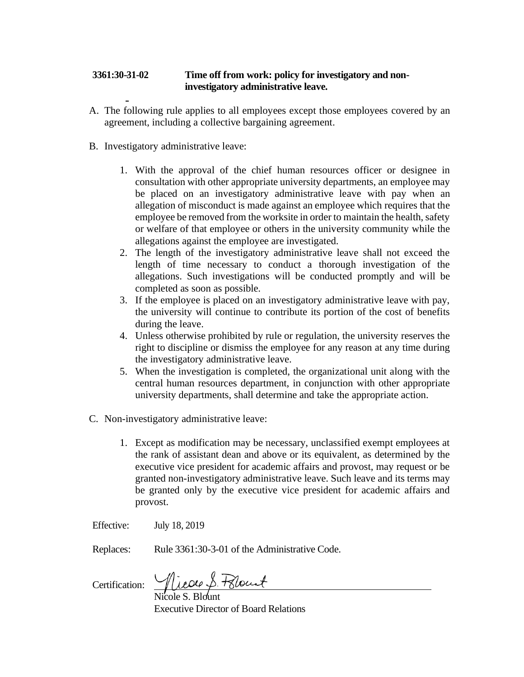## **3361:30-31-02 Time off from work: policy for investigatory and noninvestigatory administrative leave.**

- A. The following rule applies to all employees except those employees covered by an agreement, including a collective bargaining agreement.
- B. Investigatory administrative leave:
	- 1. With the approval of the chief human resources officer or designee in consultation with other appropriate university departments, an employee may be placed on an investigatory administrative leave with pay when an allegation of misconduct is made against an employee which requires that the employee be removed from the worksite in order to maintain the health, safety or welfare of that employee or others in the university community while the allegations against the employee are investigated.
	- 2. The length of the investigatory administrative leave shall not exceed the length of time necessary to conduct a thorough investigation of the allegations. Such investigations will be conducted promptly and will be completed as soon as possible.
	- 3. If the employee is placed on an investigatory administrative leave with pay, the university will continue to contribute its portion of the cost of benefits during the leave.
	- 4. Unless otherwise prohibited by rule or regulation, the university reserves the right to discipline or dismiss the employee for any reason at any time during the investigatory administrative leave.
	- 5. When the investigation is completed, the organizational unit along with the central human resources department, in conjunction with other appropriate university departments, shall determine and take the appropriate action.
- C. Non-investigatory administrative leave:
	- 1. Except as modification may be necessary, unclassified exempt employees at the rank of assistant dean and above or its equivalent, as determined by the executive vice president for academic affairs and provost, may request or be granted non-investigatory administrative leave. Such leave and its terms may be granted only by the executive vice president for academic affairs and provost.
- Effective: July 18, 2019
- Replaces: Rule 3361:30-3-01 of the Administrative Code.

Certification:

Nicole S. Blount Executive Director of Board Relations